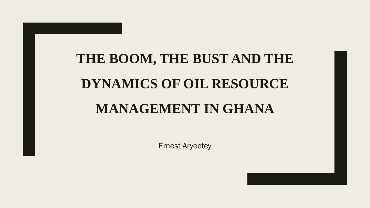# **THE BOOM, THE BUST AND THE DYNAMICS OF OIL RESOURCE MANAGEMENT IN GHANA**

Ernest Aryeetey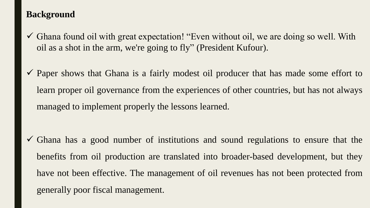# **Background**

- $\checkmark$  Ghana found oil with great expectation! "Even without oil, we are doing so well. With oil as a shot in the arm, we're going to fly" (President Kufour).
- $\checkmark$  Paper shows that Ghana is a fairly modest oil producer that has made some effort to learn proper oil governance from the experiences of other countries, but has not always managed to implement properly the lessons learned.

 $\checkmark$  Ghana has a good number of institutions and sound regulations to ensure that the benefits from oil production are translated into broader-based development, but they have not been effective. The management of oil revenues has not been protected from generally poor fiscal management.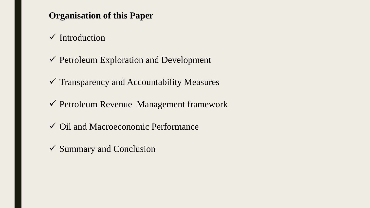# **Organisation of this Paper**

- $\checkmark$  Introduction
- $\checkmark$  Petroleum Exploration and Development
- $\checkmark$  Transparency and Accountability Measures
- ✓ Petroleum Revenue Management framework
- ✓ Oil and Macroeconomic Performance
- ✓ Summary and Conclusion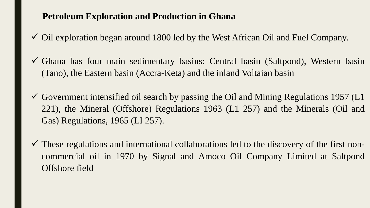#### **Petroleum Exploration and Production in Ghana**

- $\checkmark$  Oil exploration began around 1800 led by the West African Oil and Fuel Company.
- ✓ Ghana has four main sedimentary basins: Central basin (Saltpond), Western basin (Tano), the Eastern basin (Accra-Keta) and the inland Voltaian basin
- $\checkmark$  Government intensified oil search by passing the Oil and Mining Regulations 1957 (L1 221), the Mineral (Offshore) Regulations 1963 (L1 257) and the Minerals (Oil and Gas) Regulations, 1965 (LI 257).
- $\checkmark$  These regulations and international collaborations led to the discovery of the first noncommercial oil in 1970 by Signal and Amoco Oil Company Limited at Saltpond Offshore field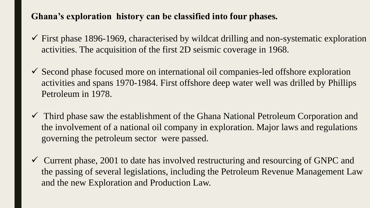# **Ghana's exploration history can be classified into four phases.**

- $\checkmark$  First phase 1896-1969, characterised by wildcat drilling and non-systematic exploration activities. The acquisition of the first 2D seismic coverage in 1968.
- ✓ Second phase focused more on international oil companies-led offshore exploration activities and spans 1970-1984. First offshore deep water well was drilled by Phillips Petroleum in 1978.
- ✓ Third phase saw the establishment of the Ghana National Petroleum Corporation and the involvement of a national oil company in exploration. Major laws and regulations governing the petroleum sector were passed.
- $\checkmark$  Current phase, 2001 to date has involved restructuring and resourcing of GNPC and the passing of several legislations, including the Petroleum Revenue Management Law and the new Exploration and Production Law.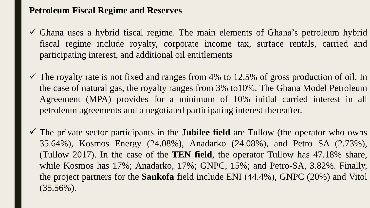# **Petroleum Fiscal Regime and Reserves**

- $\checkmark$  Ghana uses a hybrid fiscal regime. The main elements of Ghana's petroleum hybrid fiscal regime include royalty, corporate income tax, surface rentals, carried and participating interest, and additional oil entitlements
- $\checkmark$  The royalty rate is not fixed and ranges from 4% to 12.5% of gross production of oil. In the case of natural gas, the royalty ranges from 3% to10%. The Ghana Model Petroleum Agreement (MPA) provides for a minimum of 10% initial carried interest in all petroleum agreements and a negotiated participating interest thereafter.
- ✓ The private sector participants in the **Jubilee field** are Tullow (the operator who owns 35.64%), Kosmos Energy (24.08%), Anadarko (24.08%), and Petro SA (2.73%), (Tullow 2017). In the case of the **TEN field**, the operator Tullow has 47.18% share, while Kosmos has 17%; Anadarko, 17%; GNPC, 15%; and Petro-SA, 3.82%. Finally, the project partners for the **Sankofa** field include ENI (44.4%), GNPC (20%) and Vitol  $(35.56\%)$ .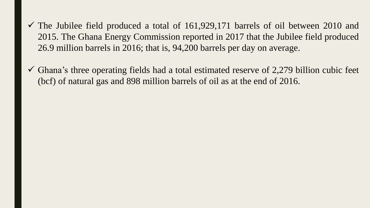- $\checkmark$  The Jubilee field produced a total of 161,929,171 barrels of oil between 2010 and 2015. The Ghana Energy Commission reported in 2017 that the Jubilee field produced 26.9 million barrels in 2016; that is, 94,200 barrels per day on average.
- $\checkmark$  Ghana's three operating fields had a total estimated reserve of 2,279 billion cubic feet (bcf) of natural gas and 898 million barrels of oil as at the end of 2016.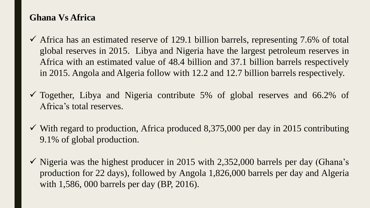#### **Ghana Vs Africa**

- $\checkmark$  Africa has an estimated reserve of 129.1 billion barrels, representing 7.6% of total global reserves in 2015. Libya and Nigeria have the largest petroleum reserves in Africa with an estimated value of 48.4 billion and 37.1 billion barrels respectively in 2015. Angola and Algeria follow with 12.2 and 12.7 billion barrels respectively.
- $\checkmark$  Together, Libya and Nigeria contribute 5% of global reserves and 66.2% of Africa's total reserves.
- $\checkmark$  With regard to production, Africa produced 8,375,000 per day in 2015 contributing 9.1% of global production.
- $\checkmark$  Nigeria was the highest producer in 2015 with 2,352,000 barrels per day (Ghana's production for 22 days), followed by Angola 1,826,000 barrels per day and Algeria with 1,586, 000 barrels per day (BP, 2016).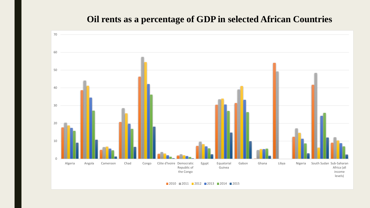# **Oil rents as a percentage of GDP in selected African Countries**

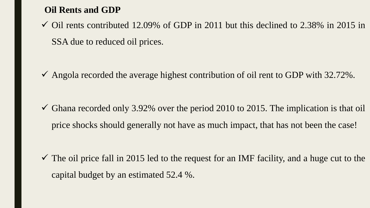# **Oil Rents and GDP**

 $\checkmark$  Oil rents contributed 12.09% of GDP in 2011 but this declined to 2.38% in 2015 in SSA due to reduced oil prices.

 $\checkmark$  Angola recorded the average highest contribution of oil rent to GDP with 32.72%.

 $\checkmark$  Ghana recorded only 3.92% over the period 2010 to 2015. The implication is that oil price shocks should generally not have as much impact, that has not been the case!

 $\checkmark$  The oil price fall in 2015 led to the request for an IMF facility, and a huge cut to the capital budget by an estimated 52.4 %.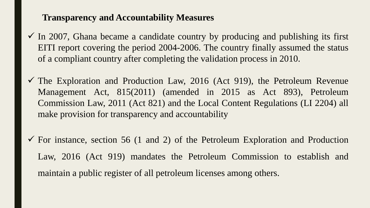#### **Transparency and Accountability Measures**

- $\checkmark$  In 2007, Ghana became a candidate country by producing and publishing its first EITI report covering the period 2004-2006. The country finally assumed the status of a compliant country after completing the validation process in 2010.
- $\checkmark$  The Exploration and Production Law, 2016 (Act 919), the Petroleum Revenue Management Act, 815(2011) (amended in 2015 as Act 893), Petroleum Commission Law, 2011 (Act 821) and the Local Content Regulations (LI 2204) all make provision for transparency and accountability
- $\checkmark$  For instance, section 56 (1 and 2) of the Petroleum Exploration and Production Law, 2016 (Act 919) mandates the Petroleum Commission to establish and maintain a public register of all petroleum licenses among others.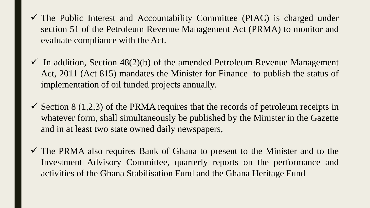- $\checkmark$  The Public Interest and Accountability Committee (PIAC) is charged under section 51 of the Petroleum Revenue Management Act (PRMA) to monitor and evaluate compliance with the Act.
- $\checkmark$  In addition, Section 48(2)(b) of the amended Petroleum Revenue Management Act, 2011 (Act 815) mandates the Minister for Finance to publish the status of implementation of oil funded projects annually.
- $\checkmark$  Section 8 (1,2,3) of the PRMA requires that the records of petroleum receipts in whatever form, shall simultaneously be published by the Minister in the Gazette and in at least two state owned daily newspapers,
- $\checkmark$  The PRMA also requires Bank of Ghana to present to the Minister and to the Investment Advisory Committee, quarterly reports on the performance and activities of the Ghana Stabilisation Fund and the Ghana Heritage Fund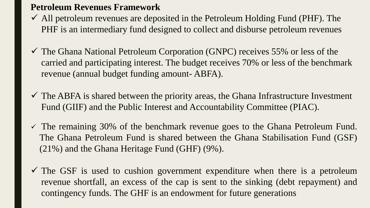#### **Petroleum Revenues Framework**

- $\checkmark$  All petroleum revenues are deposited in the Petroleum Holding Fund (PHF). The PHF is an intermediary fund designed to collect and disburse petroleum revenues
- $\checkmark$  The Ghana National Petroleum Corporation (GNPC) receives 55% or less of the carried and participating interest. The budget receives 70% or less of the benchmark revenue (annual budget funding amount- ABFA).
- $\checkmark$  The ABFA is shared between the priority areas, the Ghana Infrastructure Investment Fund (GIIF) and the Public Interest and Accountability Committee (PIAC).
- $\checkmark$  The remaining 30% of the benchmark revenue goes to the Ghana Petroleum Fund. The Ghana Petroleum Fund is shared between the Ghana Stabilisation Fund (GSF) (21%) and the Ghana Heritage Fund (GHF) (9%).
- $\checkmark$  The GSF is used to cushion government expenditure when there is a petroleum revenue shortfall, an excess of the cap is sent to the sinking (debt repayment) and contingency funds. The GHF is an endowment for future generations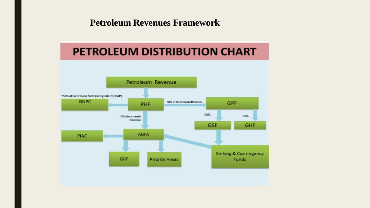#### **Petroleum Revenues Framework**

# **PETROLEUM DISTRIBUTION CHART**

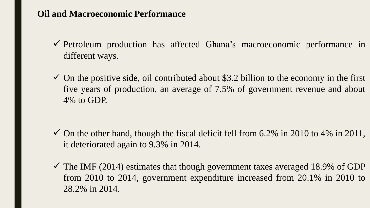# **Oil and Macroeconomic Performance**

- ✓ Petroleum production has affected Ghana's macroeconomic performance in different ways.
- $\checkmark$  On the positive side, oil contributed about \$3.2 billion to the economy in the first five years of production, an average of 7.5% of government revenue and about 4% to GDP.

- $\checkmark$  On the other hand, though the fiscal deficit fell from 6.2% in 2010 to 4% in 2011, it deteriorated again to 9.3% in 2014.
- $\checkmark$  The IMF (2014) estimates that though government taxes averaged 18.9% of GDP from 2010 to 2014, government expenditure increased from 20.1% in 2010 to 28.2% in 2014.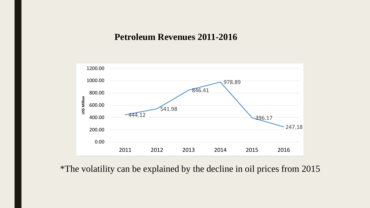#### **Petroleum Revenues 2011-2016**



\*The volatility can be explained by the decline in oil prices from 2015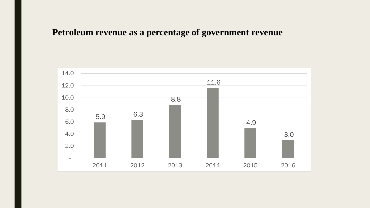# **Petroleum revenue as a percentage of government revenue**

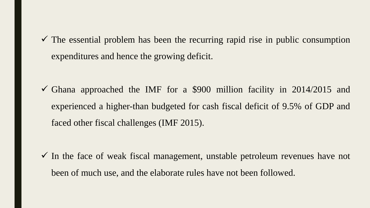$\checkmark$  The essential problem has been the recurring rapid rise in public consumption expenditures and hence the growing deficit.

 $\checkmark$  Ghana approached the IMF for a \$900 million facility in 2014/2015 and experienced a higher-than budgeted for cash fiscal deficit of 9.5% of GDP and faced other fiscal challenges (IMF 2015).

 $\checkmark$  In the face of weak fiscal management, unstable petroleum revenues have not been of much use, and the elaborate rules have not been followed.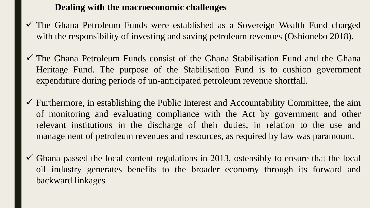# **Dealing with the macroeconomic challenges**

- ✓ The Ghana Petroleum Funds were established as a Sovereign Wealth Fund charged with the responsibility of investing and saving petroleum revenues (Oshionebo 2018).
- $\checkmark$  The Ghana Petroleum Funds consist of the Ghana Stabilisation Fund and the Ghana Heritage Fund. The purpose of the Stabilisation Fund is to cushion government expenditure during periods of un-anticipated petroleum revenue shortfall.
- $\checkmark$  Furthermore, in establishing the Public Interest and Accountability Committee, the aim of monitoring and evaluating compliance with the Act by government and other relevant institutions in the discharge of their duties, in relation to the use and management of petroleum revenues and resources, as required by law was paramount.
- $\checkmark$  Ghana passed the local content regulations in 2013, ostensibly to ensure that the local oil industry generates benefits to the broader economy through its forward and backward linkages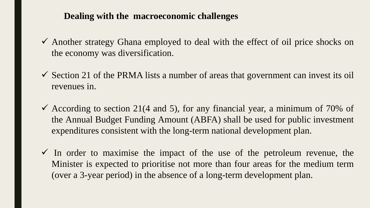# **Dealing with the macroeconomic challenges**

- ✓ Another strategy Ghana employed to deal with the effect of oil price shocks on the economy was diversification.
- $\checkmark$  Section 21 of the PRMA lists a number of areas that government can invest its oil revenues in.
- $\checkmark$  According to section 21(4 and 5), for any financial year, a minimum of 70% of the Annual Budget Funding Amount (ABFA) shall be used for public investment expenditures consistent with the long-term national development plan.
- $\checkmark$  In order to maximise the impact of the use of the petroleum revenue, the Minister is expected to prioritise not more than four areas for the medium term (over a 3-year period) in the absence of a long-term development plan.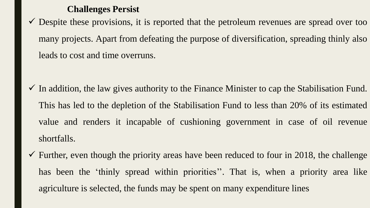#### **Challenges Persist**

 $\checkmark$  Despite these provisions, it is reported that the petroleum revenues are spread over too many projects. Apart from defeating the purpose of diversification, spreading thinly also leads to cost and time overruns.

- $\checkmark$  In addition, the law gives authority to the Finance Minister to cap the Stabilisation Fund. This has led to the depletion of the Stabilisation Fund to less than 20% of its estimated value and renders it incapable of cushioning government in case of oil revenue shortfalls.
- $\checkmark$  Further, even though the priority areas have been reduced to four in 2018, the challenge has been the 'thinly spread within priorities''. That is, when a priority area like agriculture is selected, the funds may be spent on many expenditure lines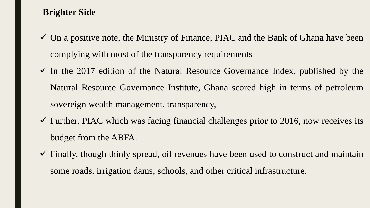# **Brighter Side**

- $\checkmark$  On a positive note, the Ministry of Finance, PIAC and the Bank of Ghana have been complying with most of the transparency requirements
- $\checkmark$  In the 2017 edition of the Natural Resource Governance Index, published by the Natural Resource Governance Institute, Ghana scored high in terms of petroleum sovereign wealth management, transparency,
- $\checkmark$  Further, PIAC which was facing financial challenges prior to 2016, now receives its budget from the ABFA.
- $\checkmark$  Finally, though thinly spread, oil revenues have been used to construct and maintain some roads, irrigation dams, schools, and other critical infrastructure.